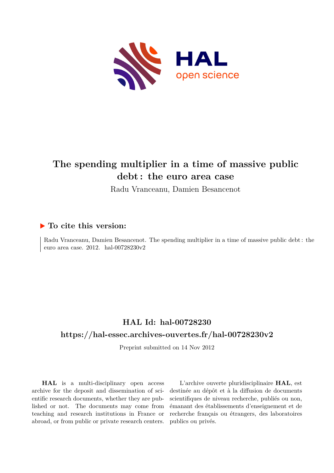

## **The spending multiplier in a time of massive public debt : the euro area case**

Radu Vranceanu, Damien Besancenot

### **To cite this version:**

Radu Vranceanu, Damien Besancenot. The spending multiplier in a time of massive public debt : the euro area case. 2012. hal-00728230v2

## **HAL Id: hal-00728230 <https://hal-essec.archives-ouvertes.fr/hal-00728230v2>**

Preprint submitted on 14 Nov 2012

**HAL** is a multi-disciplinary open access archive for the deposit and dissemination of scientific research documents, whether they are published or not. The documents may come from teaching and research institutions in France or abroad, or from public or private research centers.

L'archive ouverte pluridisciplinaire **HAL**, est destinée au dépôt et à la diffusion de documents scientifiques de niveau recherche, publiés ou non, émanant des établissements d'enseignement et de recherche français ou étrangers, des laboratoires publics ou privés.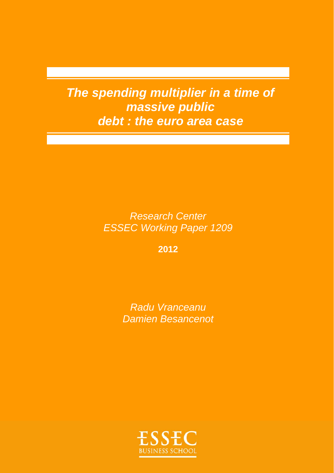*The spending multiplier in a time of massive public debt : the euro area case* 

> *Research Center ESSEC Working Paper 1209*

> > **2012**

*Radu Vranceanu Damien Besancenot* 

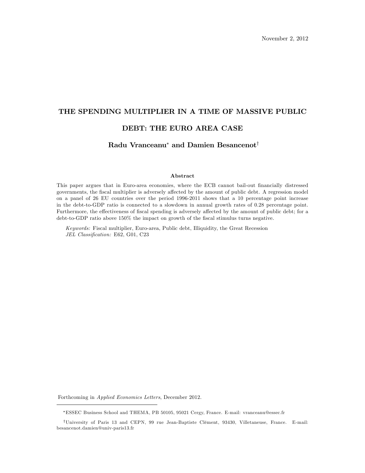# THE SPENDING MULTIPLIER IN A TIME OF MASSIVE PUBLIC DEBT: THE EURO AREA CASE

#### Radu Vranceanu<sup>\*</sup> and Damien Besancenot<sup>†</sup>

#### Abstract

This paper argues that in Euro-area economies, where the ECB cannot bail-out Önancially distressed governments, the fiscal multiplier is adversely affected by the amount of public debt. A regression model on a panel of 26 EU countries over the period 1996-2011 shows that a 10 percentage point increase in the debt-to-GDP ratio is connected to a slowdown in annual growth rates of 0.28 percentage point. Furthermore, the effectiveness of fiscal spending is adversely affected by the amount of public debt; for a debt-to-GDP ratio above 150% the impact on growth of the fiscal stimulus turns negative.

Keywords: Fiscal multiplier, Euro-area, Public debt, Illiquidity, the Great Recession JEL Classification: E62, G01, C23

Forthcoming in Applied Economics Letters, December 2012.

ESSEC Business School and THEMA, PB 50105, 95021 Cergy, France. E-mail: vranceanu@essec.fr

<sup>&</sup>lt;sup>†</sup>University of Paris 13 and CEPN, 99 rue Jean-Baptiste Clément, 93430, Villetaneuse, France. E-mail: besancenot.damien@univ-paris13.fr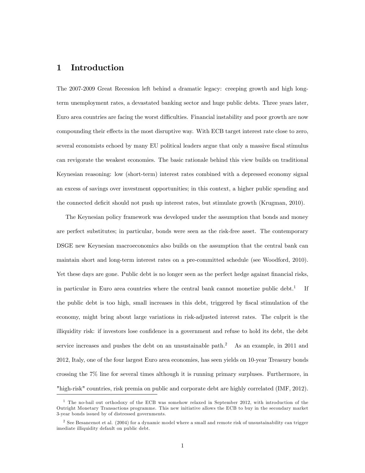#### 1 Introduction

The 2007-2009 Great Recession left behind a dramatic legacy: creeping growth and high longterm unemployment rates, a devastated banking sector and huge public debts. Three years later, Euro area countries are facing the worst difficulties. Financial instability and poor growth are now compounding their effects in the most disruptive way. With ECB target interest rate close to zero, several economists echoed by many EU political leaders argue that only a massive fiscal stimulus can revigorate the weakest economies. The basic rationale behind this view builds on traditional Keynesian reasoning: low (short-term) interest rates combined with a depressed economy signal an excess of savings over investment opportunities; in this context, a higher public spending and the connected deficit should not push up interest rates, but stimulate growth (Krugman, 2010).

The Keynesian policy framework was developed under the assumption that bonds and money are perfect substitutes; in particular, bonds were seen as the risk-free asset. The contemporary DSGE new Keynesian macroeconomics also builds on the assumption that the central bank can maintain short and long-term interest rates on a pre-committed schedule (see Woodford, 2010). Yet these days are gone. Public debt is no longer seen as the perfect hedge against financial risks, in particular in Euro area countries where the central bank cannot monetize public  $\text{debt.}^1$  If the public debt is too high, small increases in this debt, triggered by fiscal stimulation of the economy, might bring about large variations in risk-adjusted interest rates. The culprit is the illiquidity risk: if investors lose confidence in a government and refuse to hold its debt, the debt service increases and pushes the debt on an unsustainable path.<sup>2</sup> As an example, in 2011 and 2012, Italy, one of the four largest Euro area economies, has seen yields on 10-year Treasury bonds crossing the 7% line for several times although it is running primary surpluses. Furthermore, in "high-risk" countries, risk premia on public and corporate debt are highly correlated (IMF, 2012).

<sup>&</sup>lt;sup>1</sup> The no-bail out orthodoxy of the ECB was somehow relaxed in September 2012, with introduction of the Outright Monetary Transactions programme. This new initiative allows the ECB to buy in the secondary market 3-year bonds issued by of distressed governments.

<sup>&</sup>lt;sup>2</sup> See Besancenot et al. (2004) for a dynamic model where a small and remote risk of unsustainability can trigger imediate illiquidity default on public debt.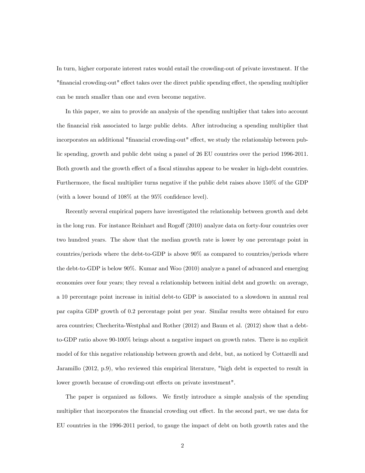In turn, higher corporate interest rates would entail the crowding-out of private investment. If the "financial crowding-out" effect takes over the direct public spending effect, the spending multiplier can be much smaller than one and even become negative.

In this paper, we aim to provide an analysis of the spending multiplier that takes into account the Önancial risk associated to large public debts. After introducing a spending multiplier that incorporates an additional "financial crowding-out" effect, we study the relationship between public spending, growth and public debt using a panel of 26 EU countries over the period 1996-2011. Both growth and the growth effect of a fiscal stimulus appear to be weaker in high-debt countries. Furthermore, the fiscal multiplier turns negative if the public debt raises above 150% of the GDP (with a lower bound of  $108\%$  at the  $95\%$  confidence level).

Recently several empirical papers have investigated the relationship between growth and debt in the long run. For instance Reinhart and Rogoff (2010) analyze data on forty-four countries over two hundred years. The show that the median growth rate is lower by one percentage point in countries/periods where the debt-to-GDP is above 90% as compared to countries/periods where the debt-to-GDP is below 90%. Kumar and Woo (2010) analyze a panel of advanced and emerging economies over four years; they reveal a relationship between initial debt and growth: on average, a 10 percentage point increase in initial debt-to GDP is associated to a slowdown in annual real par capita GDP growth of 0.2 percentage point per year. Similar results were obtained for euro area countries; Checherita-Westphal and Rother (2012) and Baum et al. (2012) show that a debtto-GDP ratio above 90-100% brings about a negative impact on growth rates. There is no explicit model of for this negative relationship between growth and debt, but, as noticed by Cottarelli and Jaramillo (2012, p.9), who reviewed this empirical literature, "high debt is expected to result in lower growth because of crowding-out effects on private investment".

The paper is organized as follows. We firstly introduce a simple analysis of the spending multiplier that incorporates the financial crowding out effect. In the second part, we use data for EU countries in the 1996-2011 period, to gauge the impact of debt on both growth rates and the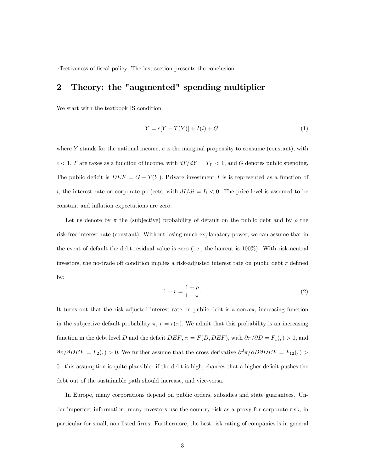effectiveness of fiscal policy. The last section presents the conclusion.

## 2 Theory: the "augmented" spending multiplier

We start with the textbook IS condition:

$$
Y = c[Y - T(Y)] + I(i) + G,
$$
\n(1)

where  $Y$  stands for the national income,  $c$  is the marginal propensity to consume (constant), with  $c < 1, \, T$  are taxes as a function of income, with  $dT/dY = T_Y < 1,$  and  $G$  denotes public spending. The public deficit is  $DEF = G - T(Y)$ . Private investment I is is represented as a function of i, the interest rate on corporate projects, with  $dI/di = I_i < 0$ . The price level is assumed to be constant and inflation expectations are zero.

Let us denote by  $\pi$  the (subjective) probability of default on the public debt and by  $\rho$  the risk-free interest rate (constant). Without losing much explanatory power, we can assume that in the event of default the debt residual value is zero (i.e., the haircut is 100%). With risk-neutral investors, the no-trade off condition implies a risk-adjusted interest rate on public debt  $r$  defined by:

$$
1 + r = \frac{1 + \rho}{1 - \pi}.\tag{2}
$$

It turns out that the risk-adjusted interest rate on public debt is a convex, increasing function in the subjective default probability  $\pi$ ,  $r = r(\pi)$ . We admit that this probability is an increasing function in the debt level D and the deficit DEF,  $\pi = F(D,DEF)$ , with  $\partial \pi / \partial D = F_1($ ,  $) > 0$ , and  $\partial \pi / \partial DEF = F_2($ ,  $> 0$ . We further assume that the cross derivative  $\partial^2 \pi / \partial D \partial DEF = F_{12}($ ,  $>$  $0:$  this assumption is quite plausible: if the debt is high, chances that a higher deficit pushes the debt out of the sustainable path should increase, and vice-versa.

In Europe, many corporations depend on public orders, subsidies and state guarantees. Under imperfect information, many investors use the country risk as a proxy for corporate risk, in particular for small, non listed Örms. Furthermore, the best risk rating of companies is in general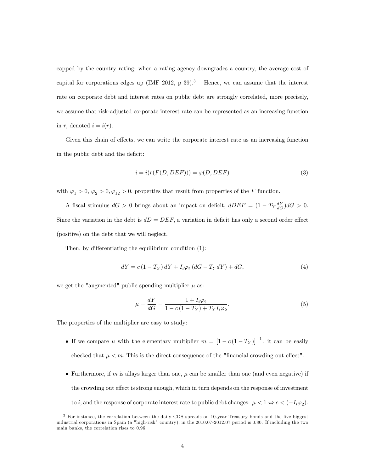capped by the country rating; when a rating agency downgrades a country, the average cost of capital for corporations edges up (IMF 2012, p 39).<sup>3</sup> Hence, we can assume that the interest rate on corporate debt and interest rates on public debt are strongly correlated, more precisely, we assume that risk-adjusted corporate interest rate can be represented as an increasing function in r, denoted  $i = i(r)$ .

Given this chain of effects, we can write the corporate interest rate as an increasing function in the public debt and the deficit:

$$
i = i(r(F(D, DEF))) = \varphi(D, DEF) \tag{3}
$$

with  $\varphi_1 > 0$ ,  $\varphi_2 > 0$ ,  $\varphi_{12} > 0$ , properties that result from properties of the F function.

A fiscal stimulus  $dG > 0$  brings about an impact on deficit,  $dDEF = (1 - T_Y \frac{dY}{dG})dG > 0$ . Since the variation in the debt is  $dD = DEF$ , a variation in deficit has only a second order effect (positive) on the debt that we will neglect.

Then, by differentiating the equilibrium condition  $(1)$ :

$$
dY = c\left(1 - T_Y\right)dY + I_i\varphi_2\left(dG - T_Y dY\right) + dG,\tag{4}
$$

we get the "augmented" public spending multiplier  $\mu$  as:

$$
\mu = \frac{dY}{dG} = \frac{1 + I_i \varphi_2}{1 - c(1 - T_Y) + T_Y I_i \varphi_2}.
$$
\n(5)

The properties of the multiplier are easy to study:

- If we compare  $\mu$  with the elementary multiplier  $m = [1 c(1 T_Y)]^{-1}$ , it can be easily checked that  $\mu < m$ . This is the direct consequence of the "financial crowding-out effect".
- Furthermore, if m is allays larger than one,  $\mu$  can be smaller than one (and even negative) if the crowding out effect is strong enough, which in turn depends on the response of investment to *i*, and the response of corporate interest rate to public debt changes:  $\mu < 1 \Leftrightarrow c < (-I_i \varphi_2)$ .

<sup>&</sup>lt;sup>3</sup> For instance, the correlation between the daily CDS spreads on 10-year Treasury bonds and the five biggest industrial corporations in Spain (a "high-risk" country), in the 2010.07-2012.07 period is 0.80. If including the two main banks, the correlation rises to 0.96.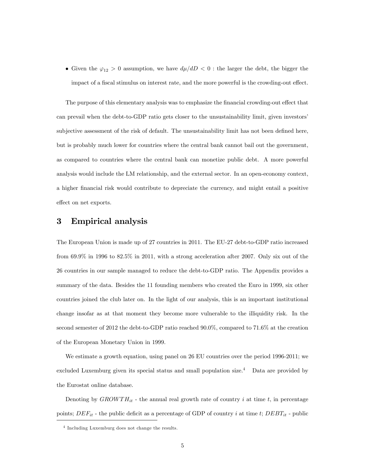Given the  $\varphi_{12} > 0$  assumption, we have  $d\mu/dD < 0$ : the larger the debt, the bigger the impact of a fiscal stimulus on interest rate, and the more powerful is the crowding-out effect.

The purpose of this elementary analysis was to emphasize the financial crowding-out effect that can prevail when the debt-to-GDP ratio gets closer to the unsustainability limit, given investors' subjective assessment of the risk of default. The unsustainability limit has not been defined here, but is probably much lower for countries where the central bank cannot bail out the government, as compared to countries where the central bank can monetize public debt. A more powerful analysis would include the LM relationship, and the external sector. In an open-economy context, a higher Önancial risk would contribute to depreciate the currency, and might entail a positive effect on net exports.

### 3 Empirical analysis

The European Union is made up of 27 countries in 2011. The EU-27 debt-to-GDP ratio increased from 69.9% in 1996 to 82.5% in 2011, with a strong acceleration after 2007. Only six out of the 26 countries in our sample managed to reduce the debt-to-GDP ratio. The Appendix provides a summary of the data. Besides the 11 founding members who created the Euro in 1999, six other countries joined the club later on. In the light of our analysis, this is an important institutional change insofar as at that moment they become more vulnerable to the illiquidity risk. In the second semester of 2012 the debt-to-GDP ratio reached 90.0%, compared to 71.6% at the creation of the European Monetary Union in 1999.

We estimate a growth equation, using panel on 26 EU countries over the period 1996-2011; we excluded Luxemburg given its special status and small population size.<sup>4</sup> Data are provided by the Eurostat online database.

Denoting by  $GROWTH_{it}$  - the annual real growth rate of country i at time t, in percentage points;  $DEF_{it}$  - the public deficit as a percentage of GDP of country i at time t;  $DEBT_{it}$  - public

<sup>4</sup> Including Luxemburg does not change the results.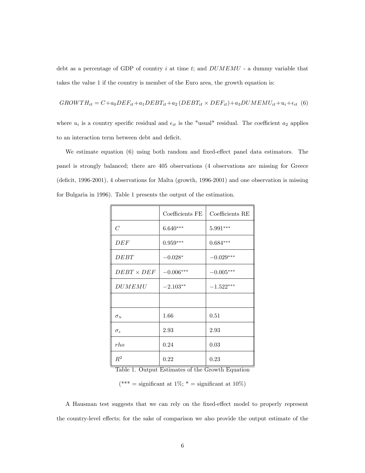debt as a percentage of GDP of country  $i$  at time  $t$ ; and  $DUMEMU$  - a dummy variable that takes the value 1 if the country is member of the Euro area, the growth equation is:

$$
GROWTH_{it} = C + a_0 DEF_{it} + a_1 DEBT_{it} + a_2 (DEBT_{it} \times DEF_{it}) + a_3 DUMEMU_{it} + u_i + \epsilon_{it} (6)
$$

where  $u_i$  is a country specific residual and  $\epsilon_{it}$  is the "usual" residual. The coefficient  $a_2$  applies to an interaction term between debt and deficit.

We estimate equation  $(6)$  using both random and fixed-effect panel data estimators. The panel is strongly balanced; there are 405 observations (4 observations are missing for Greece  $(deficit, 1996-2001), 4 observations for Malta (growth, 1996-2001) and one observation is missing$ for Bulgaria in 1996). Table 1 presents the output of the estimation.

|                     | Coefficients FE | Coefficients RE |  |
|---------------------|-----------------|-----------------|--|
| $\overline{C}$      | $6.640***$      | $5.991***$      |  |
| DEF                 | $0.959***$      | $0.684***$      |  |
| DEBT                | $-0.028*$       | $-0.029***$     |  |
| $DEBT \times DEF$   | $-0.006***$     | $-0.005***$     |  |
| DUMEMU              | $-2.103**$      | $-1.522***$     |  |
|                     |                 |                 |  |
| $\sigma_u$          | 1.66            | 0.51            |  |
| $\sigma_{\epsilon}$ | 2.93            | 2.93            |  |
| rho                 | 0.24            | 0.03            |  |
| $R^2$               | 0.22            | 0.23            |  |

Table 1. Output Estimates of the Growth Equation

(\*\*\* = significant at 1%;  $*$  = significant at 10%)

A Hausman test suggests that we can rely on the fixed-effect model to properly represent the country-level effects; for the sake of comparison we also provide the output estimate of the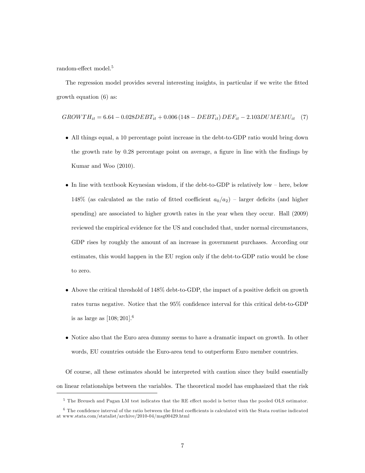random-effect model.<sup>5</sup>

The regression model provides several interesting insights, in particular if we write the Ötted growth equation (6) as:

$$
GROWTH_{it} = 6.64 - 0.028 DEBT_{it} + 0.006 (148 - DEBT_{it}) DEF_{it} - 2.103 DUMEMU_{it} \quad (7)
$$

- All things equal, a 10 percentage point increase in the debt-to-GDP ratio would bring down the growth rate by 0.28 percentage point on average, a figure in line with the findings by Kumar and Woo (2010).
- $\bullet$  In line with textbook Keynesian wisdom, if the debt-to-GDP is relatively low here, below 148% (as calculated as the ratio of fitted coefficient  $a_0/a_2$ ) – larger deficits (and higher spending) are associated to higher growth rates in the year when they occur. Hall (2009) reviewed the empirical evidence for the US and concluded that, under normal circumstances, GDP rises by roughly the amount of an increase in government purchases. According our estimates, this would happen in the EU region only if the debt-to-GDP ratio would be close to zero.
- $\bullet$  Above the critical threshold of 148% debt-to-GDP, the impact of a positive deficit on growth rates turns negative. Notice that the 95% confidence interval for this critical debt-to-GDP is as large as  $[108; 201]$ .<sup>6</sup>
- Notice also that the Euro area dummy seems to have a dramatic impact on growth. In other words, EU countries outside the Euro-area tend to outperform Euro member countries.

Of course, all these estimates should be interpreted with caution since they build essentially on linear relationships between the variables. The theoretical model has emphasized that the risk

 $5$  The Breusch and Pagan LM test indicates that the RE effect model is better than the pooled OLS estimator.

 $6$  The confidence interval of the ratio between the fitted coefficients is calculated with the Stata routine indicated at www.stata.com/statalist/archive/2010-04/msg00429.html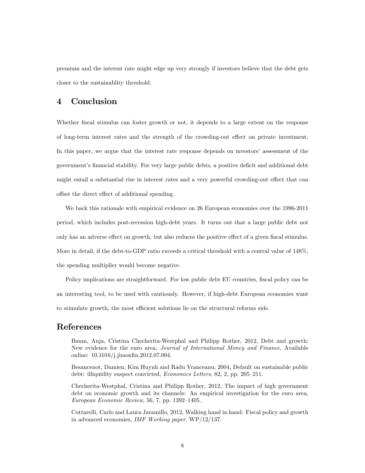premium and the interest rate might edge up very strongly if investors believe that the debt gets closer to the sustainablity threshold.

#### 4 Conclusion

Whether fiscal stimulus can foster growth or not, it depends to a large extent on the response of long-term interest rates and the strength of the crowding-out effect on private investment. In this paper, we argue that the interest rate response depends on investors' assessment of the government's financial stability. For very large public debts, a positive deficit and additional debt might entail a substantial rise in interest rates and a very powerful crowding-out effect that can offset the direct effect of additional spending.

We back this rationale with empirical evidence on 26 European economies over the 1996-2011 period, which includes post-recession high-debt years. It turns out that a large public debt not only has an adverse effect on growth, but also reduces the positive effect of a given fiscal stimulus. More in detail, if the debt-to-GDP ratio exceeds a critical threshold with a central value of 148%, the spending multiplier would become negative.

Policy implications are straightforward. For low public debt EU countries, fiscal policy can be an interesting tool, to be used with cautiously. However, if high-debt European economies want to stimulate growth, the most efficient solutions lie on the structural reforms side.

#### References

Baum, Anja, Cristina Checherita-Westphal and Philipp Rother, 2012, Debt and growth: New evidence for the euro area, Journal of International Money and Finance, Available online: 10.1016/j.jimonfin.2012.07.004.

Besancenot, Damien, Kim Huynh and Radu Vranceanu, 2004, Default on sustainable public debt: illiquidity suspect convicted, *Economics Letters*, 82, 2, pp. 205–211.

Checherita-Westphal, Cristina and Philipp Rother, 2012, The impact of high government debt on economic growth and its channels: An empirical investigation for the euro area, European Economic Review, 56, 7, pp.  $1392-1405$ .

Cottarelli, Carlo and Laura Jaramillo, 2012, Walking hand in hand: Fiscal policy and growth in advanced economies, IMF Working paper, WP/12/137.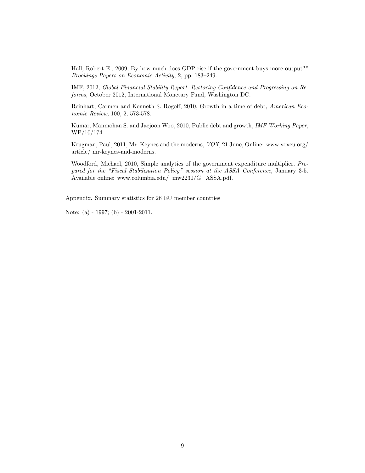Hall, Robert E., 2009, By how much does GDP rise if the government buys more output?" Brookings Papers on Economic Activity, 2, pp. 183-249.

IMF, 2012, Global Financial Stability Report. Restoring Confidence and Progressing on Reforms, October 2012, International Monetary Fund, Washington DC.

Reinhart, Carmen and Kenneth S. Rogoff, 2010, Growth in a time of debt, American Economic Review, 100, 2, 573-578.

Kumar, Manmohan S. and Jaejoon Woo, 2010, Public debt and growth, IMF Working Paper, WP/10/174.

Krugman, Paul, 2011, Mr. Keynes and the moderns, VOX, 21 June, Online: www.voxeu.org/ article/ mr-keynes-and-moderns.

Woodford, Michael, 2010, Simple analytics of the government expenditure multiplier, Prepared for the "Fiscal Stabilization Policy" session at the ASSA Conference, January 3-5. Available online: www.columbia.edu/~mw2230/G\_ASSA.pdf.

Appendix. Summary statistics for 26 EU member countries

Note: (a) - 1997; (b) - 2001-2011.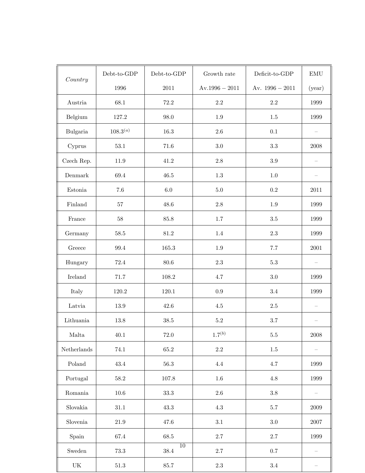| Country                           | $Debt-to-GDP$ | $Debt-to-GDP$               | Growth rate      | Deficit-to-GDP    | $\operatorname{EMU}$ |
|-----------------------------------|---------------|-----------------------------|------------------|-------------------|----------------------|
|                                   | 1996          | $2011\,$                    | $Av.1996 - 2011$ | Av. $1996 - 2011$ | (year)               |
| Austria                           | 68.1          | $72.2\,$                    | $2.2\,$          | $2.2\,$           | 1999                 |
| Belgium                           | 127.2         | 98.0                        | $1.9\,$          | 1.5               | 1999                 |
| Bulgaria                          | $108.3^{(a)}$ | 16.3                        | $2.6\,$          | 0.1               |                      |
| Cyprus                            | $53.1\,$      | 71.6                        | $3.0\,$          | $\!.3$            | $\,2008\,$           |
| Czech Rep.                        | 11.9          | $41.2\,$                    | $2.8\,$          | $\!.9$            |                      |
| Denmark                           | 69.4          | $46.5\,$                    | $1.3\,$          | $1.0\,$           |                      |
| Estonia                           | $7.6\,$       | $6.0\,$                     | $5.0\,$          | $\rm 0.2$         | 2011                 |
| Finland                           | $57\,$        | 48.6                        | $2.8\,$          | $1.9\,$           | 1999                 |
| $\operatorname{France}$           | $58\,$        | $85.8\,$                    | 1.7              | $3.5\,$           | 1999                 |
| Germany                           | $58.5\,$      | $81.2\,$                    | $1.4\,$          | $2.3\,$           | 1999                 |
| Greece                            | $99.4\,$      | $165.3\,$                   | $1.9\,$          | $7.7\,$           | $\,2001\,$           |
| Hungary                           | 72.4          | $80.6\,$                    | $2.3\,$          | $5.3\,$           |                      |
| <b>Ireland</b>                    | $71.7\,$      | $108.2\,$                   | 4.7              | $3.0\,$           | 1999                 |
| Italy                             | 120.2         | 120.1                       | $\rm 0.9$        | $3.4\,$           | 1999                 |
| Latvia                            | $13.9\,$      | $42.6\,$                    | $4.5\,$          | $2.5\,$           |                      |
| Lithuania                         | $13.8\,$      | $38.5\,$                    | $5.2\,$          | $3.7\,$           |                      |
| Malta                             | $40.1\,$      | $72.0\,$                    | $1.7^{(b)}$      | $5.5\,$           | $\,2008\,$           |
| ${\bf Netherlands}$               | 74.1          | 65.2                        | $2.2\,$          | $1.5\,$           |                      |
| Poland                            | 43.4          | $56.3\,$                    | $4.4\,$          | 4.7               | 1999                 |
| Portugal                          | $58.2\,$      | $107.8\,$                   | $1.6\,$          | $4.8\,$           | 1999                 |
| Romania                           | $10.6\,$      | $33.3\,$                    | $2.6\,$          | $3.8\,$           |                      |
| Slovakia                          | $31.1\,$      | $43.3\,$                    | $4.3\,$          | $5.7\,$           | $\,2009\,$           |
| Slovenia                          | $21.9\,$      | 47.6                        | $3.1\,$          | $3.0\,$           | $2007\,$             |
| Spain                             | 67.4          | 68.5                        | $2.7\,$          | $2.7\,$           | 1999                 |
| Sweden                            | $73.3\,$      | $\overline{10}$<br>$38.4\,$ | $2.7\,$          | $0.7\,$           |                      |
| $\ensuremath{\mathrm{UK}}\xspace$ | $51.3\,$      | $85.7\,$                    | $2.3\,$          | $3.4\,$           |                      |